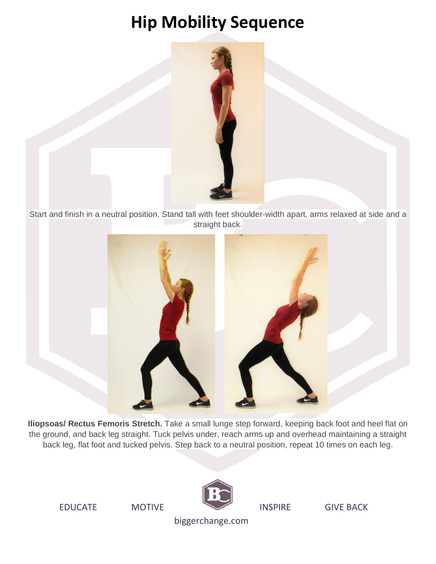

Start and finish in a neutral position. Stand tall with feet shoulder-width apart, arms relaxed at side and a straight back.



**Iliopsoas/ Rectus Femoris Stretch.** Take a small lunge step forward, keeping back foot and heel flat on the ground, and back leg straight. Tuck pelvis under, reach arms up and overhead maintaining a straight back leg, flat foot and tucked pelvis. Step back to a neutral position, repeat 10 times on each leg.

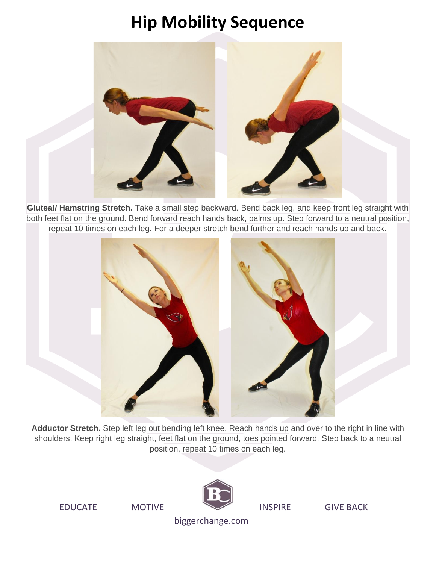

**Gluteal/ Hamstring Stretch.** Take a small step backward. Bend back leg, and keep front leg straight with both feet flat on the ground. Bend forward reach hands back, palms up. Step forward to a neutral position, repeat 10 times on each leg. For a deeper stretch bend further and reach hands up and back.



**Adductor Stretch.** Step left leg out bending left knee. Reach hands up and over to the right in line with shoulders. Keep right leg straight, feet flat on the ground, toes pointed forward. Step back to a neutral position, repeat 10 times on each leg.



EDUCATE MOTIVE **INSPIRE** GIVE BACK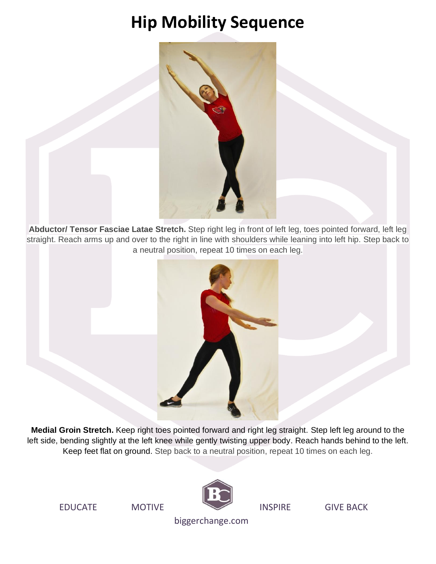

**Abductor/ Tensor Fasciae Latae Stretch.** Step right leg in front of left leg, toes pointed forward, left leg straight. Reach arms up and over to the right in line with shoulders while leaning into left hip. Step back to a neutral position, repeat 10 times on each leg.



**Medial Groin Stretch.** Keep right toes pointed forward and right leg straight. Step left leg around to the left side, bending slightly at the left knee while gently twisting upper body. Reach hands behind to the left. Keep feet flat on ground. Step back to a neutral position, repeat 10 times on each leg.

EDUCATE MOTIVE **INSPIRE** GIVE BACK